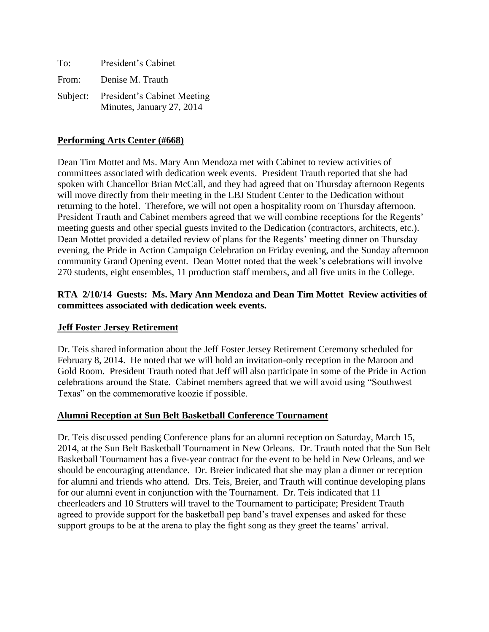| To:   | President's Cabinet                                               |
|-------|-------------------------------------------------------------------|
| From: | Denise M. Trauth                                                  |
|       | Subject: President's Cabinet Meeting<br>Minutes, January 27, 2014 |

### **Performing Arts Center (#668)**

Dean Tim Mottet and Ms. Mary Ann Mendoza met with Cabinet to review activities of committees associated with dedication week events. President Trauth reported that she had spoken with Chancellor Brian McCall, and they had agreed that on Thursday afternoon Regents will move directly from their meeting in the LBJ Student Center to the Dedication without returning to the hotel. Therefore, we will not open a hospitality room on Thursday afternoon. President Trauth and Cabinet members agreed that we will combine receptions for the Regents' meeting guests and other special guests invited to the Dedication (contractors, architects, etc.). Dean Mottet provided a detailed review of plans for the Regents' meeting dinner on Thursday evening, the Pride in Action Campaign Celebration on Friday evening, and the Sunday afternoon community Grand Opening event. Dean Mottet noted that the week's celebrations will involve 270 students, eight ensembles, 11 production staff members, and all five units in the College.

## **RTA 2/10/14 Guests: Ms. Mary Ann Mendoza and Dean Tim Mottet Review activities of committees associated with dedication week events.**

### **Jeff Foster Jersey Retirement**

Dr. Teis shared information about the Jeff Foster Jersey Retirement Ceremony scheduled for February 8, 2014. He noted that we will hold an invitation-only reception in the Maroon and Gold Room. President Trauth noted that Jeff will also participate in some of the Pride in Action celebrations around the State. Cabinet members agreed that we will avoid using "Southwest Texas" on the commemorative koozie if possible.

### **Alumni Reception at Sun Belt Basketball Conference Tournament**

Dr. Teis discussed pending Conference plans for an alumni reception on Saturday, March 15, 2014, at the Sun Belt Basketball Tournament in New Orleans. Dr. Trauth noted that the Sun Belt Basketball Tournament has a five-year contract for the event to be held in New Orleans, and we should be encouraging attendance. Dr. Breier indicated that she may plan a dinner or reception for alumni and friends who attend. Drs. Teis, Breier, and Trauth will continue developing plans for our alumni event in conjunction with the Tournament. Dr. Teis indicated that 11 cheerleaders and 10 Strutters will travel to the Tournament to participate; President Trauth agreed to provide support for the basketball pep band's travel expenses and asked for these support groups to be at the arena to play the fight song as they greet the teams' arrival.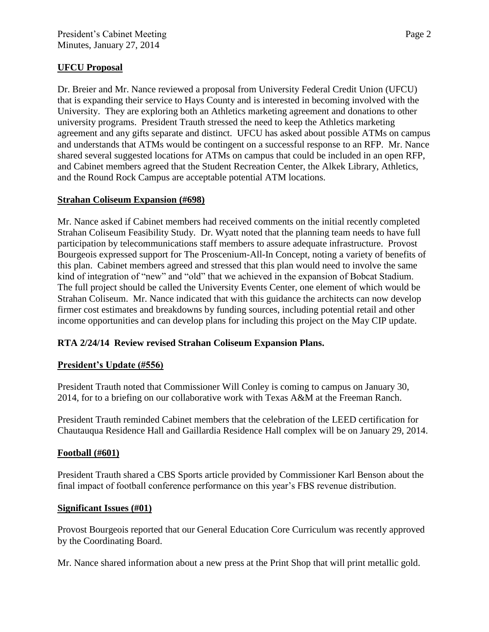## **UFCU Proposal**

Dr. Breier and Mr. Nance reviewed a proposal from University Federal Credit Union (UFCU) that is expanding their service to Hays County and is interested in becoming involved with the University. They are exploring both an Athletics marketing agreement and donations to other university programs. President Trauth stressed the need to keep the Athletics marketing agreement and any gifts separate and distinct. UFCU has asked about possible ATMs on campus and understands that ATMs would be contingent on a successful response to an RFP. Mr. Nance shared several suggested locations for ATMs on campus that could be included in an open RFP, and Cabinet members agreed that the Student Recreation Center, the Alkek Library, Athletics, and the Round Rock Campus are acceptable potential ATM locations.

## **Strahan Coliseum Expansion (#698)**

Mr. Nance asked if Cabinet members had received comments on the initial recently completed Strahan Coliseum Feasibility Study. Dr. Wyatt noted that the planning team needs to have full participation by telecommunications staff members to assure adequate infrastructure. Provost Bourgeois expressed support for The Proscenium-All-In Concept, noting a variety of benefits of this plan. Cabinet members agreed and stressed that this plan would need to involve the same kind of integration of "new" and "old" that we achieved in the expansion of Bobcat Stadium. The full project should be called the University Events Center, one element of which would be Strahan Coliseum. Mr. Nance indicated that with this guidance the architects can now develop firmer cost estimates and breakdowns by funding sources, including potential retail and other income opportunities and can develop plans for including this project on the May CIP update.

# **RTA 2/24/14 Review revised Strahan Coliseum Expansion Plans.**

## **President's Update (#556)**

President Trauth noted that Commissioner Will Conley is coming to campus on January 30, 2014, for to a briefing on our collaborative work with Texas A&M at the Freeman Ranch.

President Trauth reminded Cabinet members that the celebration of the LEED certification for Chautauqua Residence Hall and Gaillardia Residence Hall complex will be on January 29, 2014.

## **Football (#601)**

President Trauth shared a CBS Sports article provided by Commissioner Karl Benson about the final impact of football conference performance on this year's FBS revenue distribution.

### **Significant Issues (#01)**

Provost Bourgeois reported that our General Education Core Curriculum was recently approved by the Coordinating Board.

Mr. Nance shared information about a new press at the Print Shop that will print metallic gold.